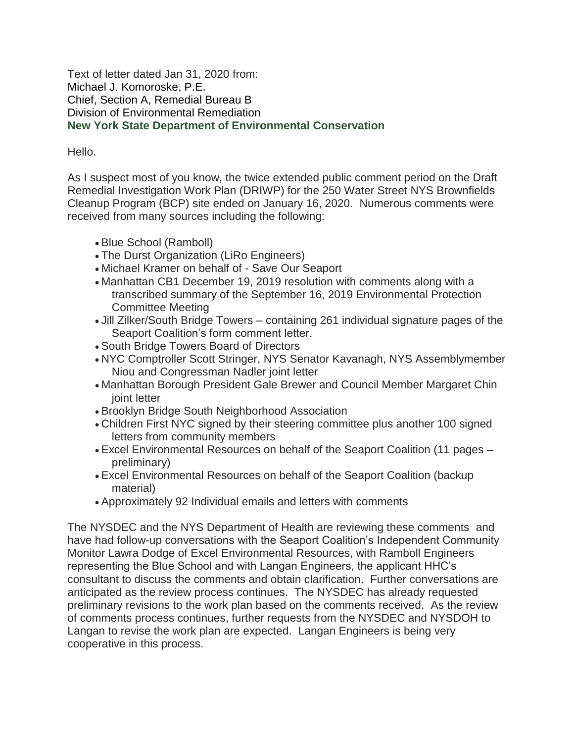Text of letter dated Jan 31, 2020 from: Michael J. Komoroske, P.E. Chief, Section A, Remedial Bureau B Division of Environmental Remediation **New York State Department of Environmental Conservation**

## Hello.

As I suspect most of you know, the twice extended public comment period on the Draft Remedial Investigation Work Plan (DRIWP) for the 250 Water Street NYS Brownfields Cleanup Program (BCP) site ended on January 16, 2020. Numerous comments were received from many sources including the following:

- Blue School (Ramboll)
- The Durst Organization (LiRo Engineers)
- Michael Kramer on behalf of Save Our Seaport
- Manhattan CB1 December 19, 2019 resolution with comments along with a transcribed summary of the September 16, 2019 Environmental Protection Committee Meeting
- Jill Zilker/South Bridge Towers containing 261 individual signature pages of the Seaport Coalition's form comment letter.
- South Bridge Towers Board of Directors
- NYC Comptroller Scott Stringer, NYS Senator Kavanagh, NYS Assemblymember Niou and Congressman Nadler joint letter
- Manhattan Borough President Gale Brewer and Council Member Margaret Chin joint letter
- Brooklyn Bridge South Neighborhood Association
- Children First NYC signed by their steering committee plus another 100 signed letters from community members
- Excel Environmental Resources on behalf of the Seaport Coalition (11 pages preliminary)
- Excel Environmental Resources on behalf of the Seaport Coalition (backup material)
- Approximately 92 Individual emails and letters with comments

The NYSDEC and the NYS Department of Health are reviewing these comments and have had follow-up conversations with the Seaport Coalition's Independent Community Monitor Lawra Dodge of Excel Environmental Resources, with Ramboll Engineers representing the Blue School and with Langan Engineers, the applicant HHC's consultant to discuss the comments and obtain clarification. Further conversations are anticipated as the review process continues. The NYSDEC has already requested preliminary revisions to the work plan based on the comments received. As the review of comments process continues, further requests from the NYSDEC and NYSDOH to Langan to revise the work plan are expected. Langan Engineers is being very cooperative in this process.